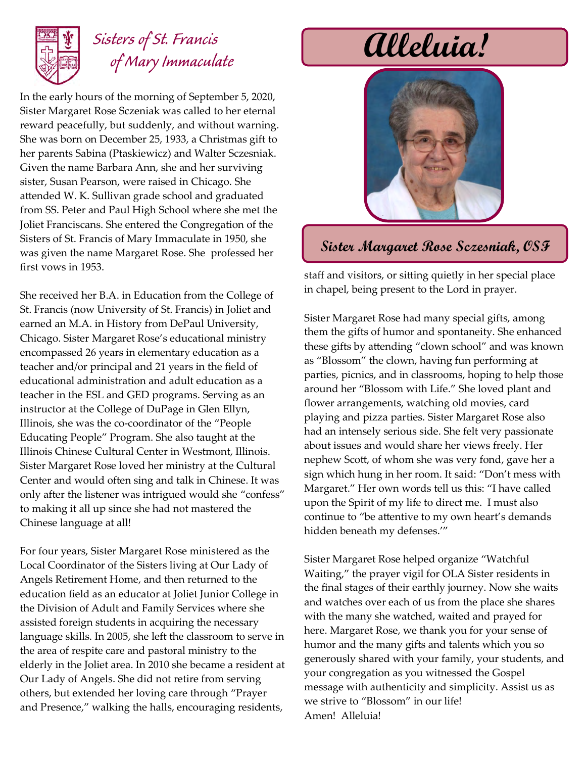

## *Sisters of St. Francis of Mary Immaculate*

In the early hours of the morning of September 5, 2020, Sister Margaret Rose Sczeniak was called to her eternal reward peacefully, but suddenly, and without warning. She was born on December 25, 1933, a Christmas gift to her parents Sabina (Ptaskiewicz) and Walter Sczesniak. Given the name Barbara Ann, she and her surviving sister, Susan Pearson, were raised in Chicago. She attended W. K. Sullivan grade school and graduated from SS. Peter and Paul High School where she met the Joliet Franciscans. She entered the Congregation of the Sisters of St. Francis of Mary Immaculate in 1950, she was given the name Margaret Rose. She professed her first vows in 1953.

She received her B.A. in Education from the College of St. Francis (now University of St. Francis) in Joliet and earned an M.A. in History from DePaul University, Chicago. Sister Margaret Rose's educational ministry encompassed 26 years in elementary education as a teacher and/or principal and 21 years in the field of educational administration and adult education as a teacher in the ESL and GED programs. Serving as an instructor at the College of DuPage in Glen Ellyn, Illinois, she was the co-coordinator of the "People Educating People" Program. She also taught at the Illinois Chinese Cultural Center in Westmont, Illinois. Sister Margaret Rose loved her ministry at the Cultural Center and would often sing and talk in Chinese. It was only after the listener was intrigued would she "confess" to making it all up since she had not mastered the Chinese language at all!

For four years, Sister Margaret Rose ministered as the Local Coordinator of the Sisters living at Our Lady of Angels Retirement Home, and then returned to the education field as an educator at Joliet Junior College in the Division of Adult and Family Services where she assisted foreign students in acquiring the necessary language skills. In 2005, she left the classroom to serve in the area of respite care and pastoral ministry to the elderly in the Joliet area. In 2010 she became a resident at Our Lady of Angels. She did not retire from serving others, but extended her loving care through "Prayer and Presence," walking the halls, encouraging residents,

# **Alleluia!**



### **Sister Margaret Rose Sczesniak, OSF**

staff and visitors, or sitting quietly in her special place in chapel, being present to the Lord in prayer.

Sister Margaret Rose had many special gifts, among them the gifts of humor and spontaneity. She enhanced these gifts by attending "clown school" and was known as "Blossom" the clown, having fun performing at parties, picnics, and in classrooms, hoping to help those around her "Blossom with Life." She loved plant and flower arrangements, watching old movies, card playing and pizza parties. Sister Margaret Rose also had an intensely serious side. She felt very passionate about issues and would share her views freely. Her nephew Scott, of whom she was very fond, gave her a sign which hung in her room. It said: "Don't mess with Margaret." Her own words tell us this: "I have called upon the Spirit of my life to direct me. I must also continue to "be attentive to my own heart's demands hidden beneath my defenses.'"

Sister Margaret Rose helped organize "Watchful Waiting," the prayer vigil for OLA Sister residents in the final stages of their earthly journey. Now she waits and watches over each of us from the place she shares with the many she watched, waited and prayed for here. Margaret Rose, we thank you for your sense of humor and the many gifts and talents which you so generously shared with your family, your students, and your congregation as you witnessed the Gospel message with authenticity and simplicity. Assist us as we strive to "Blossom" in our life! Amen! Alleluia!